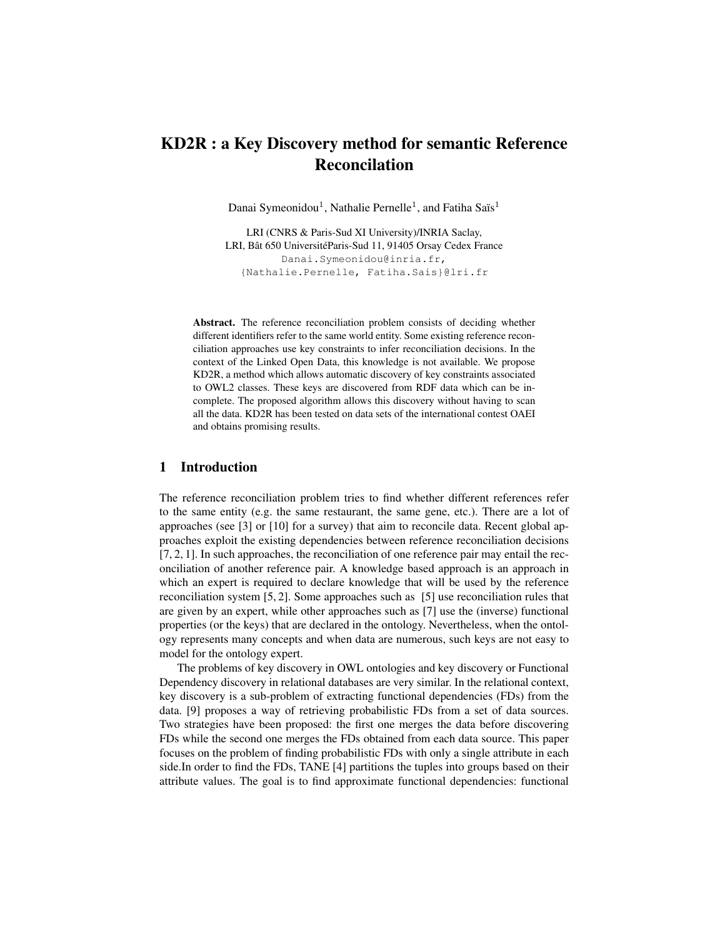# KD2R : a Key Discovery method for semantic Reference Reconcilation

Danai Symeonidou<sup>1</sup>, Nathalie Pernelle<sup>1</sup>, and Fatiha Saïs<sup>1</sup>

LRI (CNRS & Paris-Sud XI University)/INRIA Saclay, LRI, Bât 650 UniversitéParis-Sud 11, 91405 Orsay Cedex France Danai.Symeonidou@inria.fr, {Nathalie.Pernelle, Fatiha.Sais}@lri.fr

Abstract. The reference reconciliation problem consists of deciding whether different identifiers refer to the same world entity. Some existing reference reconciliation approaches use key constraints to infer reconciliation decisions. In the context of the Linked Open Data, this knowledge is not available. We propose KD2R, a method which allows automatic discovery of key constraints associated to OWL2 classes. These keys are discovered from RDF data which can be incomplete. The proposed algorithm allows this discovery without having to scan all the data. KD2R has been tested on data sets of the international contest OAEI and obtains promising results.

# 1 Introduction

The reference reconciliation problem tries to find whether different references refer to the same entity (e.g. the same restaurant, the same gene, etc.). There are a lot of approaches (see [3] or [10] for a survey) that aim to reconcile data. Recent global approaches exploit the existing dependencies between reference reconciliation decisions  $[7, 2, 1]$ . In such approaches, the reconciliation of one reference pair may entail the reconciliation of another reference pair. A knowledge based approach is an approach in which an expert is required to declare knowledge that will be used by the reference reconciliation system [5, 2]. Some approaches such as [5] use reconciliation rules that are given by an expert, while other approaches such as [7] use the (inverse) functional properties (or the keys) that are declared in the ontology. Nevertheless, when the ontology represents many concepts and when data are numerous, such keys are not easy to model for the ontology expert.

The problems of key discovery in OWL ontologies and key discovery or Functional Dependency discovery in relational databases are very similar. In the relational context, key discovery is a sub-problem of extracting functional dependencies (FDs) from the data. [9] proposes a way of retrieving probabilistic FDs from a set of data sources. Two strategies have been proposed: the first one merges the data before discovering FDs while the second one merges the FDs obtained from each data source. This paper focuses on the problem of finding probabilistic FDs with only a single attribute in each side.In order to find the FDs, TANE [4] partitions the tuples into groups based on their attribute values. The goal is to find approximate functional dependencies: functional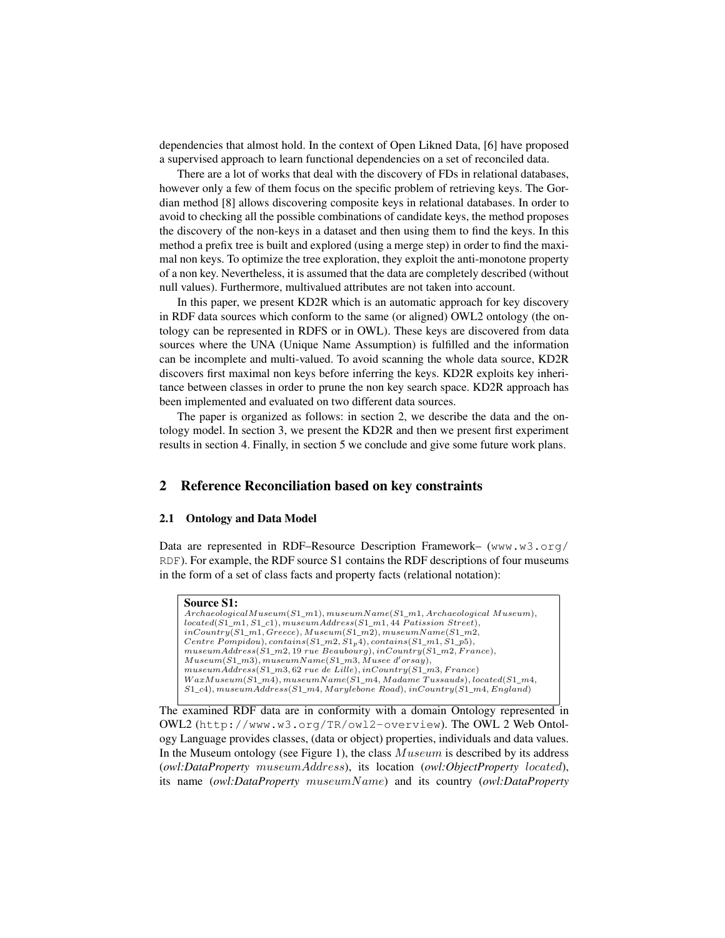dependencies that almost hold. In the context of Open Likned Data, [6] have proposed a supervised approach to learn functional dependencies on a set of reconciled data.

There are a lot of works that deal with the discovery of FDs in relational databases, however only a few of them focus on the specific problem of retrieving keys. The Gordian method [8] allows discovering composite keys in relational databases. In order to avoid to checking all the possible combinations of candidate keys, the method proposes the discovery of the non-keys in a dataset and then using them to find the keys. In this method a prefix tree is built and explored (using a merge step) in order to find the maximal non keys. To optimize the tree exploration, they exploit the anti-monotone property of a non key. Nevertheless, it is assumed that the data are completely described (without null values). Furthermore, multivalued attributes are not taken into account.

In this paper, we present KD2R which is an automatic approach for key discovery in RDF data sources which conform to the same (or aligned) OWL2 ontology (the ontology can be represented in RDFS or in OWL). These keys are discovered from data sources where the UNA (Unique Name Assumption) is fulfilled and the information can be incomplete and multi-valued. To avoid scanning the whole data source, KD2R discovers first maximal non keys before inferring the keys. KD2R exploits key inheritance between classes in order to prune the non key search space. KD2R approach has been implemented and evaluated on two different data sources.

The paper is organized as follows: in section 2, we describe the data and the ontology model. In section 3, we present the KD2R and then we present first experiment results in section 4. Finally, in section 5 we conclude and give some future work plans.

## 2 Reference Reconciliation based on key constraints

#### 2.1 Ontology and Data Model

Data are represented in RDF–Resource Description Framework– (www.w3.org/ RDF). For example, the RDF source S1 contains the RDF descriptions of four museums in the form of a set of class facts and property facts (relational notation):

#### Source S1:

| $Archaeological Museum(S1_m1), museumName(S1_m1, Archaeological Museum),$      |
|--------------------------------------------------------------------------------|
| $located(S1_m1, S1_c1), museumAddress(S1_m1, 44 \; Patission \; Street),$      |
| $inCountry(S1_m1, Greece), Museum(S1_m2), museumName(S1_m2,$                   |
| Centre Pompidou), contains $(S1_m2, S1_n4)$ , contains $(S1_m1, S1_p5)$ ,      |
| $museumAddress(S1_m2, 19\; rue\; Beaubourg), inCountry(S1_m2, France),$        |
| $Museum(S1_m3), museumName(S1_m3, Musee d'orsay),$                             |
| $museumAddress(S1_m3, 62\; rule\; de\; Lille), inCountry(S1_m3, France)$       |
| $WaxMuseum(S1_m4), museumName(S1_m4, Madame Tussauds), located(S1_m4,$         |
| $S1_c4$ , museum Address (S1_m4, Marylebone Road), in Country (S1_m4, England) |
|                                                                                |

The examined RDF data are in conformity with a domain Ontology represented in OWL2 (http://www.w3.org/TR/owl2-overview). The OWL 2 Web Ontology Language provides classes, (data or object) properties, individuals and data values. In the Museum ontology (see Figure 1), the class  $Museum$  is described by its address (*owl:DataProperty* museumAddress), its location (*owl:ObjectProperty* located), its name (owl:DataProperty museumName) and its country (owl:DataProperty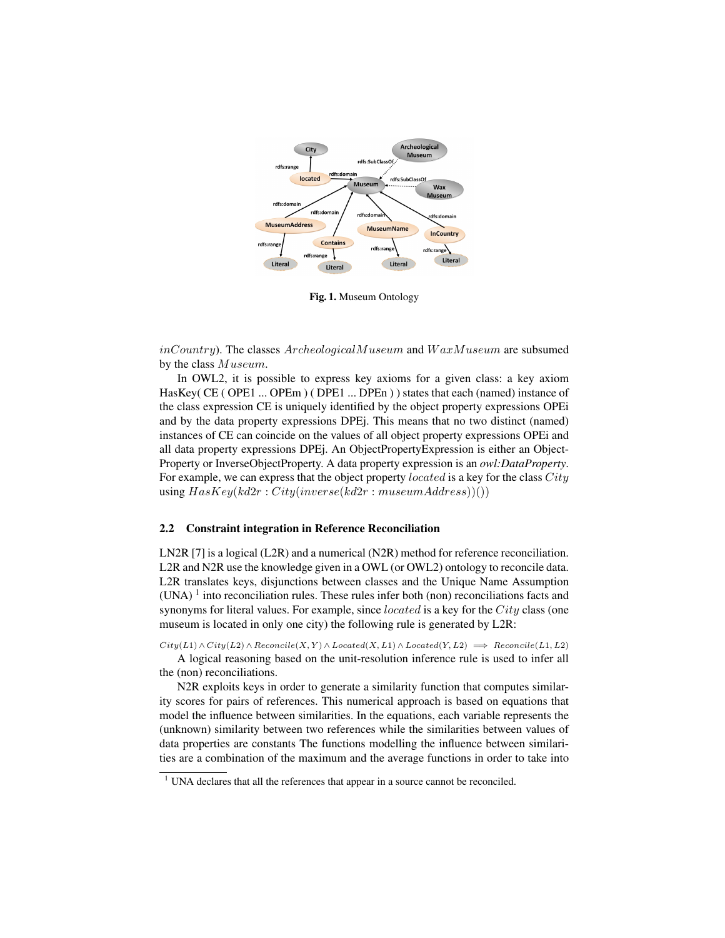

Fig. 1. Museum Ontology

 $inCountry$ ). The classes  $Archeological Museum$  and  $WaxMuseum$  are subsumed by the class Museum.

In OWL2, it is possible to express key axioms for a given class: a key axiom HasKey( CE ( OPE1 ... OPEm ) ( DPE1 ... DPEn ) ) states that each (named) instance of the class expression CE is uniquely identified by the object property expressions OPEi and by the data property expressions DPEj. This means that no two distinct (named) instances of CE can coincide on the values of all object property expressions OPEi and all data property expressions DPEj. An ObjectPropertyExpression is either an Object-Property or InverseObjectProperty. A data property expression is an *owl:DataProperty*. For example, we can express that the object property *located* is a key for the class  $City$ using  $HasKey(kd2r : City(inverse(kd2r : museumAddress))())$ 

### 2.2 Constraint integration in Reference Reconciliation

LN2R [7] is a logical (L2R) and a numerical (N2R) method for reference reconciliation. L2R and N2R use the knowledge given in a OWL (or OWL2) ontology to reconcile data. L2R translates keys, disjunctions between classes and the Unique Name Assumption (UNA)  $<sup>1</sup>$  into reconciliation rules. These rules infer both (non) reconciliations facts and</sup> synonyms for literal values. For example, since *located* is a key for the  $City$  class (one museum is located in only one city) the following rule is generated by L2R:

 $City(L1) \wedge City(L2) \wedge Reconcile(X, Y) \wedge Located(X, L1) \wedge Located(Y, L2) \implies Reconcile(L1, L2)$ 

A logical reasoning based on the unit-resolution inference rule is used to infer all the (non) reconciliations.

N2R exploits keys in order to generate a similarity function that computes similarity scores for pairs of references. This numerical approach is based on equations that model the influence between similarities. In the equations, each variable represents the (unknown) similarity between two references while the similarities between values of data properties are constants The functions modelling the influence between similarities are a combination of the maximum and the average functions in order to take into

<sup>&</sup>lt;sup>1</sup> UNA declares that all the references that appear in a source cannot be reconciled.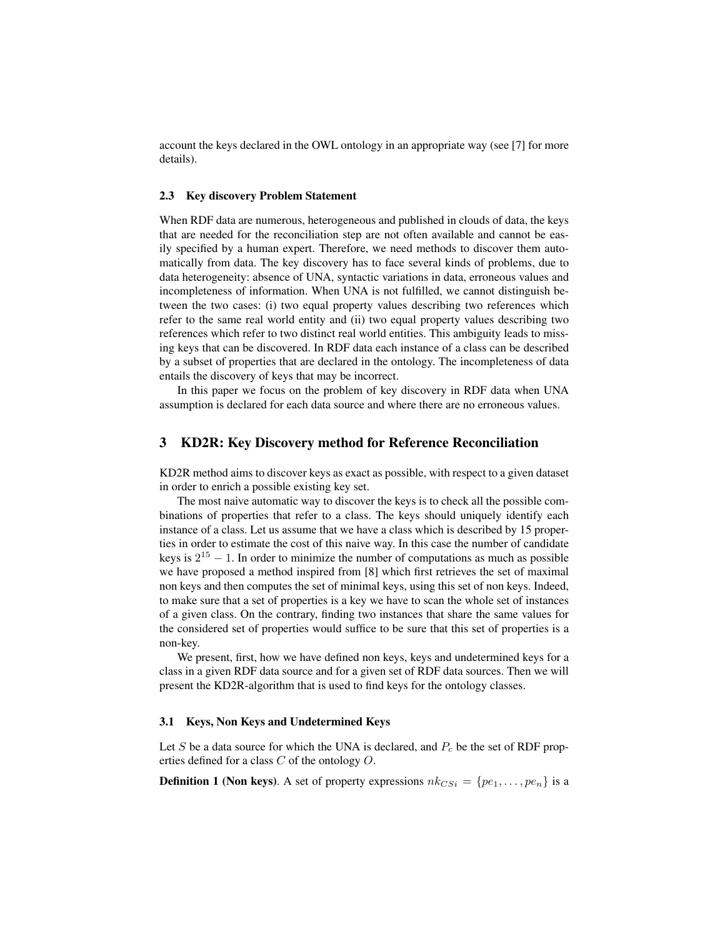account the keys declared in the OWL ontology in an appropriate way (see [7] for more details).

### 2.3 Key discovery Problem Statement

When RDF data are numerous, heterogeneous and published in clouds of data, the keys that are needed for the reconciliation step are not often available and cannot be easily specified by a human expert. Therefore, we need methods to discover them automatically from data. The key discovery has to face several kinds of problems, due to data heterogeneity: absence of UNA, syntactic variations in data, erroneous values and incompleteness of information. When UNA is not fulfilled, we cannot distinguish between the two cases: (i) two equal property values describing two references which refer to the same real world entity and (ii) two equal property values describing two references which refer to two distinct real world entities. This ambiguity leads to missing keys that can be discovered. In RDF data each instance of a class can be described by a subset of properties that are declared in the ontology. The incompleteness of data entails the discovery of keys that may be incorrect.

In this paper we focus on the problem of key discovery in RDF data when UNA assumption is declared for each data source and where there are no erroneous values.

# 3 KD2R: Key Discovery method for Reference Reconciliation

KD2R method aims to discover keys as exact as possible, with respect to a given dataset in order to enrich a possible existing key set.

The most naive automatic way to discover the keys is to check all the possible combinations of properties that refer to a class. The keys should uniquely identify each instance of a class. Let us assume that we have a class which is described by 15 properties in order to estimate the cost of this naive way. In this case the number of candidate keys is  $2^{15} - 1$ . In order to minimize the number of computations as much as possible we have proposed a method inspired from [8] which first retrieves the set of maximal non keys and then computes the set of minimal keys, using this set of non keys. Indeed, to make sure that a set of properties is a key we have to scan the whole set of instances of a given class. On the contrary, finding two instances that share the same values for the considered set of properties would suffice to be sure that this set of properties is a non-key.

We present, first, how we have defined non keys, keys and undetermined keys for a class in a given RDF data source and for a given set of RDF data sources. Then we will present the KD2R-algorithm that is used to find keys for the ontology classes.

### 3.1 Keys, Non Keys and Undetermined Keys

Let S be a data source for which the UNA is declared, and  $P_c$  be the set of RDF properties defined for a class C of the ontology O.

**Definition 1 (Non keys)**. A set of property expressions  $nk_{CSi} = \{pe_1, \ldots, pe_n\}$  is a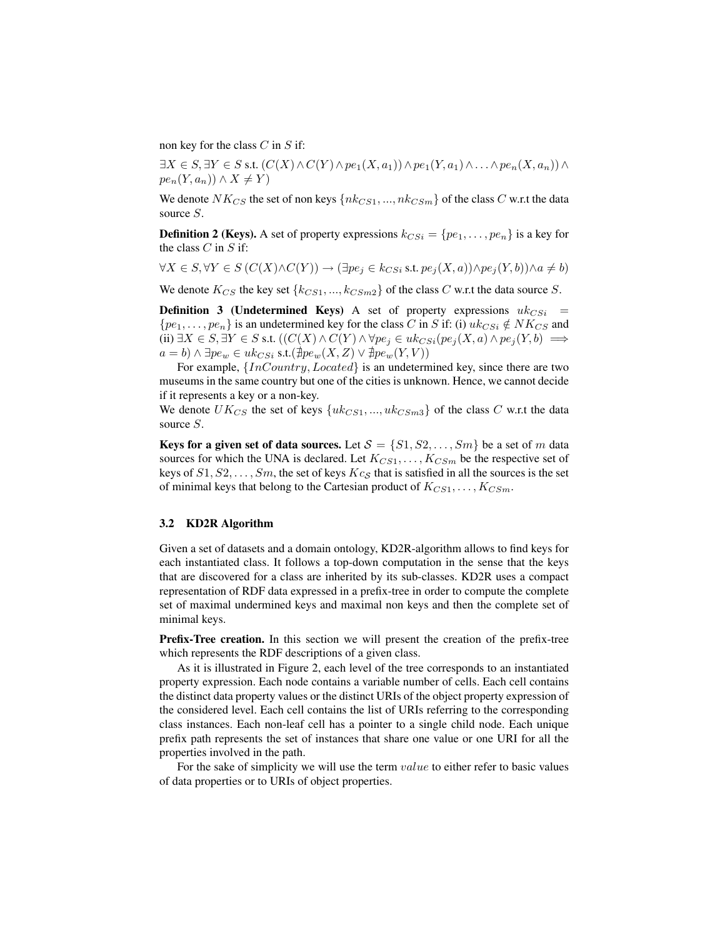non key for the class  $C$  in  $S$  if:

 $\exists X \in S, \exists Y \in S \text{ s.t. } (C(X) \wedge C(Y) \wedge pe_1(X, a_1)) \wedge pe_1(Y, a_1) \wedge \ldots \wedge pe_n(X, a_n)) \wedge$  $pe_n(Y, a_n)) \wedge X \neq Y$ 

We denote  $NK_{CS}$  the set of non keys  $\{nk_{CS1}, ..., nk_{CSm}\}$  of the class C w.r.t the data source S.

**Definition 2 (Keys).** A set of property expressions  $k_{CS_i} = \{pe_1, \ldots, pe_n\}$  is a key for the class  $C$  in  $S$  if:

 $\forall X \in S, \forall Y \in S \left( C(X) \wedge C(Y) \right) \rightarrow (\exists pe_i \in k_{CS_i} \text{ s.t. } pe_i(X, a)) \wedge pe_i(Y, b) \wedge a \neq b)$ 

We denote  $K_{CS}$  the key set  $\{k_{CS1}, ..., k_{CSm2}\}$  of the class C w.r.t the data source S.

**Definition 3 (Undetermined Keys)** A set of property expressions  $uk_{CSi}$  =  ${pe_1, \ldots, pe_n}$  is an undetermined key for the class C in S if: (i)  $uk_{CSi} \notin NK_{CS}$  and (ii)  $\exists X \in S, \exists Y \in S \text{ s.t. } ((C(X) \wedge C(Y) \wedge \forall pe_i \in uk_{CSi}(pe_i(X, a) \wedge pe_i(Y, b)))$  $a = b$ )  $\wedge \exists pe_w \in uk_{CSi}$  s.t. $(\nexists pe_w(X, Z) \vee \nexists pe_w(Y, V))$ 

For example,  $\{InCountry, Locate d\}$  is an undetermined key, since there are two museums in the same country but one of the cities is unknown. Hence, we cannot decide if it represents a key or a non-key.

We denote  $UK_{CS}$  the set of keys  $\{uk_{CS1},...,uk_{CSm3}\}$  of the class C w.r.t the data source S.

Keys for a given set of data sources. Let  $S = \{S1, S2, \ldots, Sm\}$  be a set of m data sources for which the UNA is declared. Let  $K_{CS1}, \ldots, K_{CSm}$  be the respective set of keys of  $S_1, S_2, \ldots, S_m$ , the set of keys  $Kc_S$  that is satisfied in all the sources is the set of minimal keys that belong to the Cartesian product of  $K_{CS1}, \ldots, K_{CSm}$ .

#### 3.2 KD2R Algorithm

Given a set of datasets and a domain ontology, KD2R-algorithm allows to find keys for each instantiated class. It follows a top-down computation in the sense that the keys that are discovered for a class are inherited by its sub-classes. KD2R uses a compact representation of RDF data expressed in a prefix-tree in order to compute the complete set of maximal undermined keys and maximal non keys and then the complete set of minimal keys.

Prefix-Tree creation. In this section we will present the creation of the prefix-tree which represents the RDF descriptions of a given class.

As it is illustrated in Figure 2, each level of the tree corresponds to an instantiated property expression. Each node contains a variable number of cells. Each cell contains the distinct data property values or the distinct URIs of the object property expression of the considered level. Each cell contains the list of URIs referring to the corresponding class instances. Each non-leaf cell has a pointer to a single child node. Each unique prefix path represents the set of instances that share one value or one URI for all the properties involved in the path.

For the sake of simplicity we will use the term value to either refer to basic values of data properties or to URIs of object properties.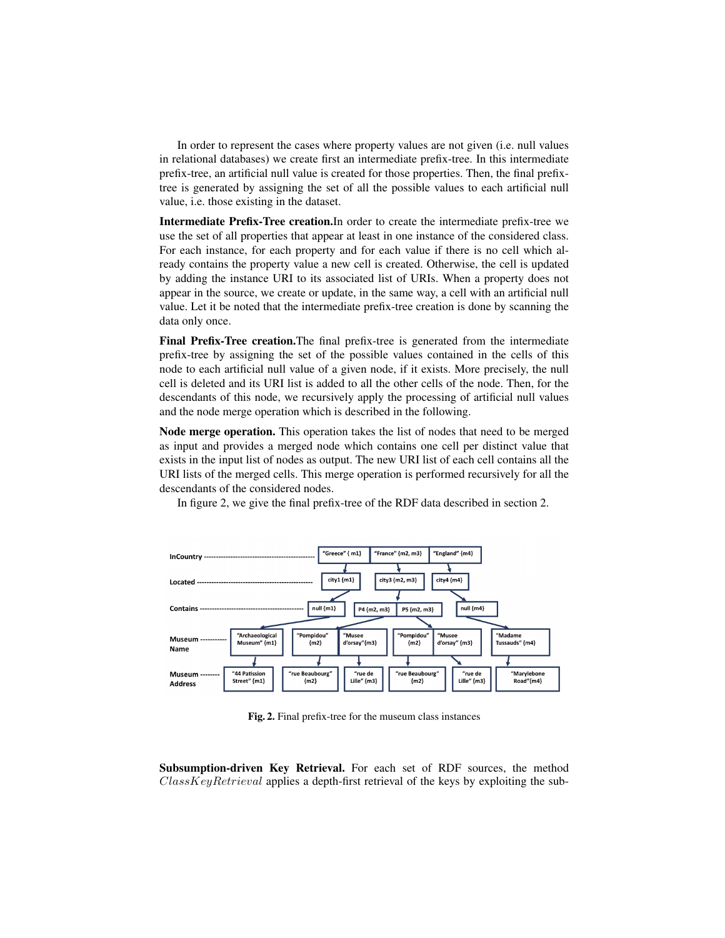In order to represent the cases where property values are not given (i.e. null values in relational databases) we create first an intermediate prefix-tree. In this intermediate prefix-tree, an artificial null value is created for those properties. Then, the final prefixtree is generated by assigning the set of all the possible values to each artificial null value, i.e. those existing in the dataset.

Intermediate Prefix-Tree creation.In order to create the intermediate prefix-tree we use the set of all properties that appear at least in one instance of the considered class. For each instance, for each property and for each value if there is no cell which already contains the property value a new cell is created. Otherwise, the cell is updated by adding the instance URI to its associated list of URIs. When a property does not appear in the source, we create or update, in the same way, a cell with an artificial null value. Let it be noted that the intermediate prefix-tree creation is done by scanning the data only once.

Final Prefix-Tree creation.The final prefix-tree is generated from the intermediate prefix-tree by assigning the set of the possible values contained in the cells of this node to each artificial null value of a given node, if it exists. More precisely, the null cell is deleted and its URI list is added to all the other cells of the node. Then, for the descendants of this node, we recursively apply the processing of artificial null values and the node merge operation which is described in the following.

Node merge operation. This operation takes the list of nodes that need to be merged as input and provides a merged node which contains one cell per distinct value that exists in the input list of nodes as output. The new URI list of each cell contains all the URI lists of the merged cells. This merge operation is performed recursively for all the descendants of the considered nodes.

In figure 2, we give the final prefix-tree of the RDF data described in section 2.



Fig. 2. Final prefix-tree for the museum class instances

Subsumption-driven Key Retrieval. For each set of RDF sources, the method ClassKeyRetrieval applies a depth-first retrieval of the keys by exploiting the sub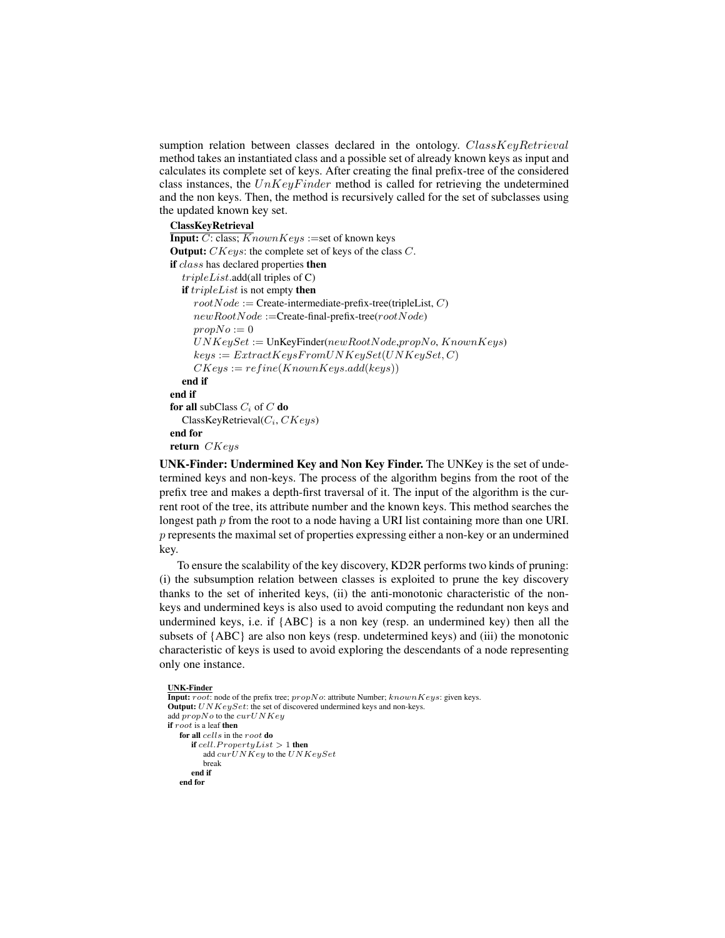sumption relation between classes declared in the ontology. ClassKeyRetrieval method takes an instantiated class and a possible set of already known keys as input and calculates its complete set of keys. After creating the final prefix-tree of the considered class instances, the  $UnKeyFinder$  method is called for retrieving the undetermined and the non keys. Then, the method is recursively called for the set of subclasses using the updated known key set.

### ClassKeyRetrieval

```
Input: C: class; KnownKeys := set of known keys
Output: CKeys: the complete set of keys of the class C.
if class has declared properties then
  tripleList.add(all triples of C)
  if tripletist is not empty then
    rootNode :=Create-intermediate-prefix-tree(tripleList, C)
    newRootNode :=Create-final-prefix-tree(rootNode)
    propNo := 0UNKeySet := UNKeyFinder(newRootNode, propNo, KnownKey)keys := ExtractKeysFromUNKeySet(UNKeySet, C)CKeys := refine(KnownKeys.add(keys))end if
end if
for all subClass C_i of C do
  ClassKeyRetrieval(C_i, CKeys)end for
return CKeys
```
UNK-Finder: Undermined Key and Non Key Finder. The UNKey is the set of undetermined keys and non-keys. The process of the algorithm begins from the root of the prefix tree and makes a depth-first traversal of it. The input of the algorithm is the current root of the tree, its attribute number and the known keys. This method searches the longest path  $p$  from the root to a node having a URI list containing more than one URI. p represents the maximal set of properties expressing either a non-key or an undermined key.

To ensure the scalability of the key discovery, KD2R performs two kinds of pruning: (i) the subsumption relation between classes is exploited to prune the key discovery thanks to the set of inherited keys, (ii) the anti-monotonic characteristic of the nonkeys and undermined keys is also used to avoid computing the redundant non keys and undermined keys, i.e. if  ${ABC}$  is a non key (resp. an undermined key) then all the subsets of {ABC} are also non keys (resp. undetermined keys) and (iii) the monotonic characteristic of keys is used to avoid exploring the descendants of a node representing only one instance.

#### UNK-Finder

```
Input: root: node of the prefix tree; propNo: attribute Number; knownKeys: given keys.
Output: UNKeySet: the set of discovered undermined keys and non-keys.
add propNo to the curUNKeyif root is a leaf then
  for all cells in the root do
      if cell. PropertyList > 1 then
         add curUNKey to the UNKeySetbreak
      end if
   end for
```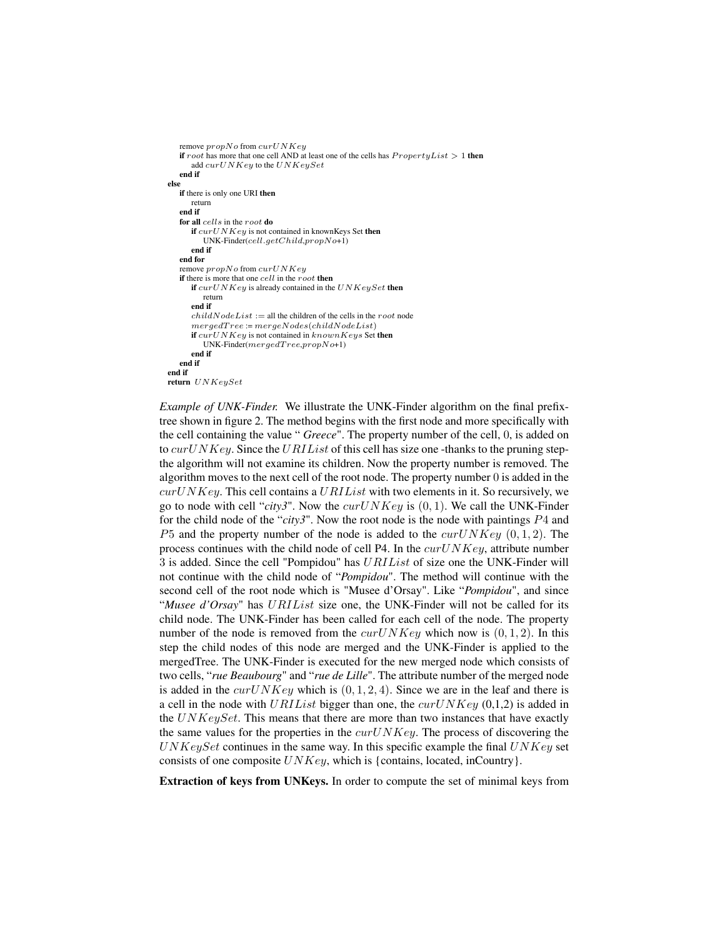```
remove propNo from curUNKeyif root has more that one cell AND at least one of the cells has PropertyList > 1 then
      add curUNKey to the UNKeySetend if
else
   if there is only one URI then
      return
   end if
   for all cells in the root do
      if curUNKey is not contained in knownKeys Set then
         UNK-Finder(cell.getChild,propNo+1)
      end if
   end for
   remove propNo from curUNKeyif there is more that one cell in the root then
      if curUNKey is already contained in the UNKeySet then
         return
      end if
      childNodeList := all the children of the cells in the root node
      mergedTree := mergeNodes(childNodeList)if curUNKey is not contained in knownKeys Set then
         \noindent \textsf{UNK-Finder}(mergedTree, propNo+1)end if
   end if
end if
return UNKeySet
```
*Example of UNK-Finder.* We illustrate the UNK-Finder algorithm on the final prefixtree shown in figure 2. The method begins with the first node and more specifically with the cell containing the value " *Greece*". The property number of the cell, 0, is added on to  $curUNKey$ . Since the URIList of this cell has size one-thanks to the pruning stepthe algorithm will not examine its children. Now the property number is removed. The algorithm moves to the next cell of the root node. The property number 0 is added in the  $curUNKey$ . This cell contains a  $URLList$  with two elements in it. So recursively, we go to node with cell "*city3*". Now the  $curUNKey$  is  $(0, 1)$ . We call the UNK-Finder for the child node of the "*city3*". Now the root node is the node with paintings P4 and P5 and the property number of the node is added to the  $curUNKey (0, 1, 2)$ . The process continues with the child node of cell P4. In the  $curUNKey$ , attribute number 3 is added. Since the cell "Pompidou" has URIList of size one the UNK-Finder will not continue with the child node of "*Pompidou*". The method will continue with the second cell of the root node which is "Musee d'Orsay". Like "*Pompidou*", and since "*Musee d'Orsay*" has URIList size one, the UNK-Finder will not be called for its child node. The UNK-Finder has been called for each cell of the node. The property number of the node is removed from the  $curUNKey$  which now is  $(0, 1, 2)$ . In this step the child nodes of this node are merged and the UNK-Finder is applied to the mergedTree. The UNK-Finder is executed for the new merged node which consists of two cells, "*rue Beaubourg*" and "*rue de Lille*". The attribute number of the merged node is added in the  $curUNKey$  which is  $(0, 1, 2, 4)$ . Since we are in the leaf and there is a cell in the node with URIList bigger than one, the  $curUNKey (0,1,2)$  is added in the  $UNKeySet$ . This means that there are more than two instances that have exactly the same values for the properties in the  $curUNKey$ . The process of discovering the  $UNKeySet$  continues in the same way. In this specific example the final  $UNKey$  set consists of one composite  $UNKey$ , which is {contains, located, inCountry}.

Extraction of keys from UNKeys. In order to compute the set of minimal keys from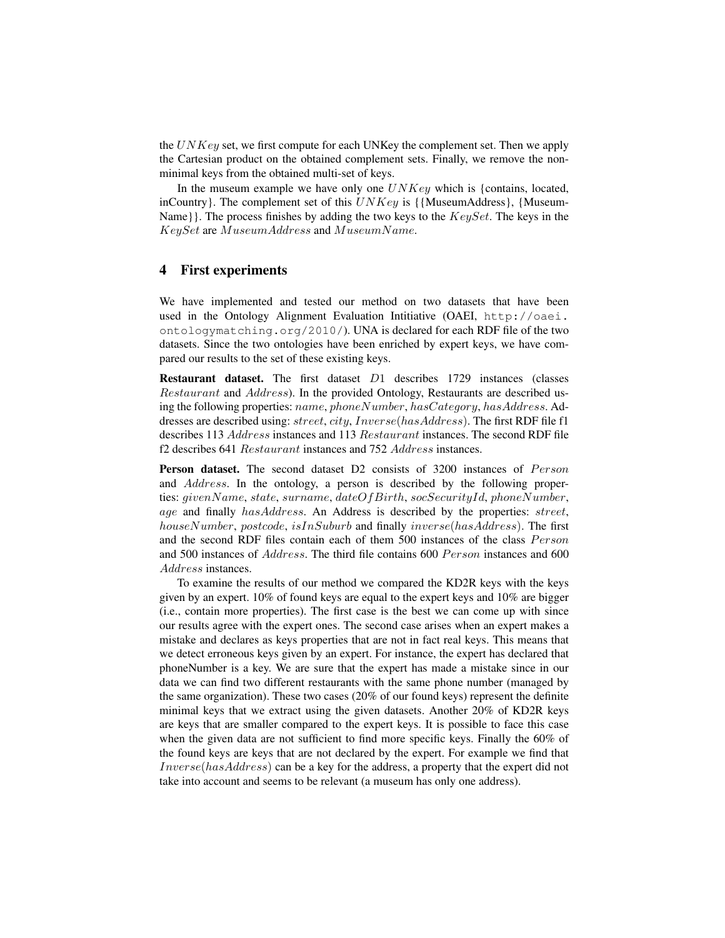the  $UNKey$  set, we first compute for each UNKey the complement set. Then we apply the Cartesian product on the obtained complement sets. Finally, we remove the nonminimal keys from the obtained multi-set of keys.

In the museum example we have only one  $UNKey$  which is {contains, located, inCountry}. The complement set of this  $UNKey$  is {{MuseumAddress}, {Museum-Name}}. The process finishes by adding the two keys to the  $KeySet$ . The keys in the KeySet are MuseumAddress and MuseumName.

# 4 First experiments

We have implemented and tested our method on two datasets that have been used in the Ontology Alignment Evaluation Intitiative (OAEI, http://oaei. ontologymatching.org/2010/). UNA is declared for each RDF file of the two datasets. Since the two ontologies have been enriched by expert keys, we have compared our results to the set of these existing keys.

Restaurant dataset. The first dataset D1 describes 1729 instances (classes Restaurant and Address). In the provided Ontology, Restaurants are described using the following properties: name, phoneNumber, hasCategory, hasAddress, Addresses are described using: street, city, Inverse(hasAddress). The first RDF file f1 describes 113 Address instances and 113 Restaurant instances. The second RDF file f2 describes 641 Restaurant instances and 752 Address instances.

Person dataset. The second dataset D2 consists of 3200 instances of Person and Address. In the ontology, a person is described by the following properties: givenName, state, surname, dateOfBirth, socSecurityId, phoneNumber, age and finally hasAddress. An Address is described by the properties: street, houseNumber, postcode, isInSuburb and finally inverse(hasAddress). The first and the second RDF files contain each of them 500 instances of the class *Person* and 500 instances of *Address*. The third file contains 600 *Person* instances and 600 Address instances.

To examine the results of our method we compared the KD2R keys with the keys given by an expert. 10% of found keys are equal to the expert keys and 10% are bigger (i.e., contain more properties). The first case is the best we can come up with since our results agree with the expert ones. The second case arises when an expert makes a mistake and declares as keys properties that are not in fact real keys. This means that we detect erroneous keys given by an expert. For instance, the expert has declared that phoneNumber is a key. We are sure that the expert has made a mistake since in our data we can find two different restaurants with the same phone number (managed by the same organization). These two cases (20% of our found keys) represent the definite minimal keys that we extract using the given datasets. Another 20% of KD2R keys are keys that are smaller compared to the expert keys. It is possible to face this case when the given data are not sufficient to find more specific keys. Finally the 60% of the found keys are keys that are not declared by the expert. For example we find that Inverse(hasAddress) can be a key for the address, a property that the expert did not take into account and seems to be relevant (a museum has only one address).